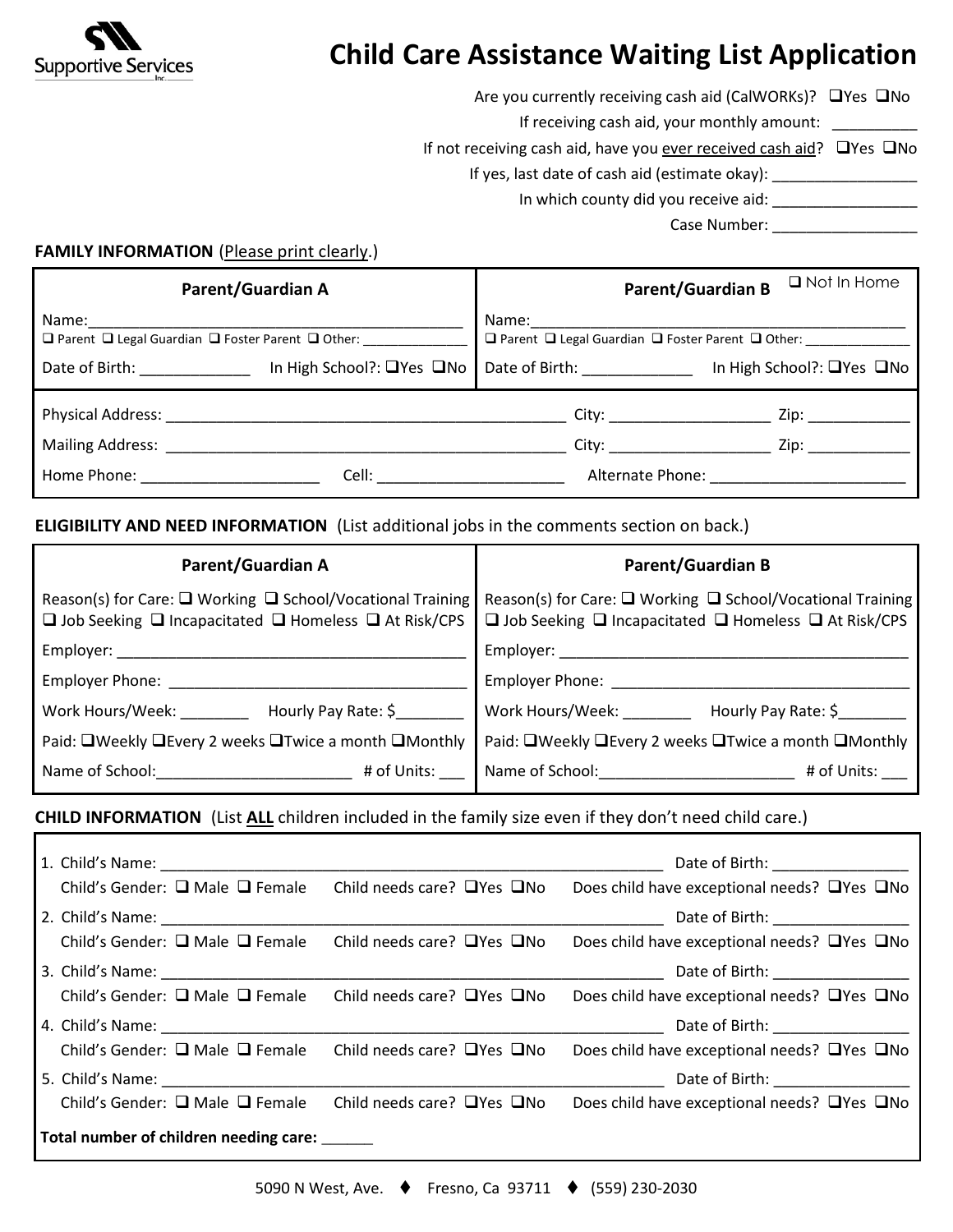

## **Child Care Assistance Waiting List Application**

Are you currently receiving cash aid (CalWORKs)?  $\Box$ Yes  $\Box$ No

If receiving cash aid, your monthly amount:

If not receiving cash aid, have you ever received cash aid?  $\Box$  Yes  $\Box$  No

If yes, last date of cash aid (estimate okay): \_\_\_\_\_\_\_\_\_\_\_\_\_\_\_\_\_\_\_\_\_\_\_\_\_\_\_\_\_\_\_\_\_

In which county did you receive aid: \_\_\_\_\_\_\_\_\_\_\_\_\_\_\_\_\_

Case Number:

## **FAMILY INFORMATION** (Please print clearly.)

| <b>Parent/Guardian A</b>                                                                                                                                                                                                       |                                                                                                                                                                                                                                | $\Box$ Not In Home<br><b>Parent/Guardian B</b>                                  |                           |
|--------------------------------------------------------------------------------------------------------------------------------------------------------------------------------------------------------------------------------|--------------------------------------------------------------------------------------------------------------------------------------------------------------------------------------------------------------------------------|---------------------------------------------------------------------------------|---------------------------|
| Name:<br>$\Box$ Parent $\Box$ Legal Guardian $\Box$ Foster Parent $\Box$ Other:                                                                                                                                                |                                                                                                                                                                                                                                | Name:<br>$\Box$ Parent $\Box$ Legal Guardian $\Box$ Foster Parent $\Box$ Other: |                           |
| Date of Birth: The Case of Birth:                                                                                                                                                                                              | In High School?: □Yes □No                                                                                                                                                                                                      | Date of Birth: _____________                                                    | In High School?: □Yes □No |
| Physical Address: National Address: National Address: National Address: National Address: National Address: Na                                                                                                                 |                                                                                                                                                                                                                                |                                                                                 | Zip:                      |
| Mailing Address: National Address and the Contract of the Contract of the Contract of the Contract of the Contract of the Contract of the Contract of the Contract of the Contract of the Contract of the Contract of the Cont |                                                                                                                                                                                                                                |                                                                                 | Zip:                      |
| Home Phone: The contract of the contract of the contract of the contract of the contract of the contract of the contract of the contract of the contract of the contract of the contract of the contract of the contract of th | Cell: the contract of the contract of the contract of the contract of the contract of the contract of the contract of the contract of the contract of the contract of the contract of the contract of the contract of the cont |                                                                                 | Alternate Phone:          |

## **ELIGIBILITY AND NEED INFORMATION** (List additional jobs in the comments section on back.)

| <b>Parent/Guardian A</b>                                                                                                                                       | <b>Parent/Guardian B</b>                                                                                                                             |  |
|----------------------------------------------------------------------------------------------------------------------------------------------------------------|------------------------------------------------------------------------------------------------------------------------------------------------------|--|
| Reason(s) for Care: $\Box$ Working $\Box$ School/Vocational Training<br>$\square$ Job Seeking $\square$ Incapacitated $\square$ Homeless $\square$ At Risk/CPS | Reason(s) for Care: □ Working □ School/Vocational Training<br>$\square$ Job Seeking $\square$ Incapacitated $\square$ Homeless $\square$ At Risk/CPS |  |
| Employer:                                                                                                                                                      | Employer: North Management                                                                                                                           |  |
| Employer Phone:                                                                                                                                                | Employer Phone: __________                                                                                                                           |  |
| Work Hours/Week:<br>Hourly Pay Rate: \$                                                                                                                        | Work Hours/Week:<br>Hourly Pay Rate: \$                                                                                                              |  |
| Paid: ■Weekly ■Every 2 weeks ■Twice a month ■Monthly                                                                                                           | Paid: □Weekly □Every 2 weeks □Twice a month □Monthly                                                                                                 |  |
| Name of School:<br># of Units:                                                                                                                                 | Name of School: Name of School:<br># of Units:                                                                                                       |  |

## **CHILD INFORMATION** (List **ALL** children included in the family size even if they don't need child care.)

|                                                                                  | Date of Birth: __________________             |
|----------------------------------------------------------------------------------|-----------------------------------------------|
| Child's Gender: $\Box$ Male $\Box$ Female Child needs care? $\Box$ Yes $\Box$ No | Does child have exceptional needs? □ Yes □ No |
|                                                                                  | Date of Birth: ___________________            |
| Child's Gender: $\Box$ Male $\Box$ Female Child needs care? $\Box$ Yes $\Box$ No | Does child have exceptional needs? □ Yes □ No |
|                                                                                  | Date of Birth: ___________________            |
| Child's Gender: $\Box$ Male $\Box$ Female Child needs care? $\Box$ Yes $\Box$ No | Does child have exceptional needs? □Yes □No   |
|                                                                                  | Date of Birth: _________________              |
| Child's Gender: $\Box$ Male $\Box$ Female Child needs care? $\Box$ Yes $\Box$ No | Does child have exceptional needs? □Yes □No   |
|                                                                                  | Date of Birth: __________________             |
| Child's Gender: $\Box$ Male $\Box$ Female Child needs care? $\Box$ Yes $\Box$ No | Does child have exceptional needs? □ Yes □ No |
| Total number of children needing care:                                           |                                               |